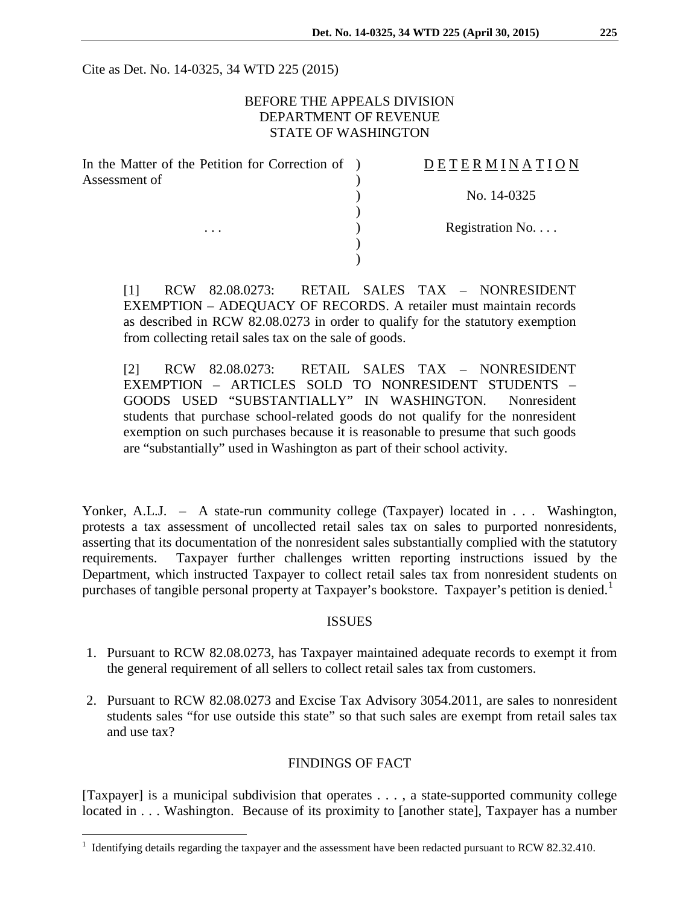Cite as Det. No. 14-0325, 34 WTD 225 (2015)

# BEFORE THE APPEALS DIVISION DEPARTMENT OF REVENUE STATE OF WASHINGTON

| In the Matter of the Petition for Correction of | <b>DETERMINATION</b> |
|-------------------------------------------------|----------------------|
| Assessment of<br>$\cdots$                       | No. 14-0325          |
|                                                 |                      |
|                                                 | Registration No      |
|                                                 |                      |
|                                                 |                      |

[1] RCW 82.08.0273: RETAIL SALES TAX – NONRESIDENT EXEMPTION – ADEQUACY OF RECORDS. A retailer must maintain records as described in RCW 82.08.0273 in order to qualify for the statutory exemption from collecting retail sales tax on the sale of goods.

[2] RCW 82.08.0273: RETAIL SALES TAX – NONRESIDENT EXEMPTION – ARTICLES SOLD TO NONRESIDENT STUDENTS – GOODS USED "SUBSTANTIALLY" IN WASHINGTON. Nonresident students that purchase school-related goods do not qualify for the nonresident exemption on such purchases because it is reasonable to presume that such goods are "substantially" used in Washington as part of their school activity.

Yonker, A.L.J. – A state-run community college (Taxpayer) located in . . . Washington, protests a tax assessment of uncollected retail sales tax on sales to purported nonresidents, asserting that its documentation of the nonresident sales substantially complied with the statutory requirements. Taxpayer further challenges written reporting instructions issued by the Department, which instructed Taxpayer to collect retail sales tax from nonresident students on purchases of tangible personal property at Taxpayer's bookstore. Taxpayer's petition is denied.<sup>[1](#page-0-0)</sup>

#### ISSUES

- 1. Pursuant to RCW 82.08.0273, has Taxpayer maintained adequate records to exempt it from the general requirement of all sellers to collect retail sales tax from customers.
- 2. Pursuant to RCW 82.08.0273 and Excise Tax Advisory 3054.2011, are sales to nonresident students sales "for use outside this state" so that such sales are exempt from retail sales tax and use tax?

# FINDINGS OF FACT

[Taxpayer] is a municipal subdivision that operates . . . , a state-supported community college located in . . . Washington. Because of its proximity to [another state], Taxpayer has a number

 $\overline{a}$ 

<span id="page-0-0"></span> $1$  Identifying details regarding the taxpayer and the assessment have been redacted pursuant to RCW 82.32.410.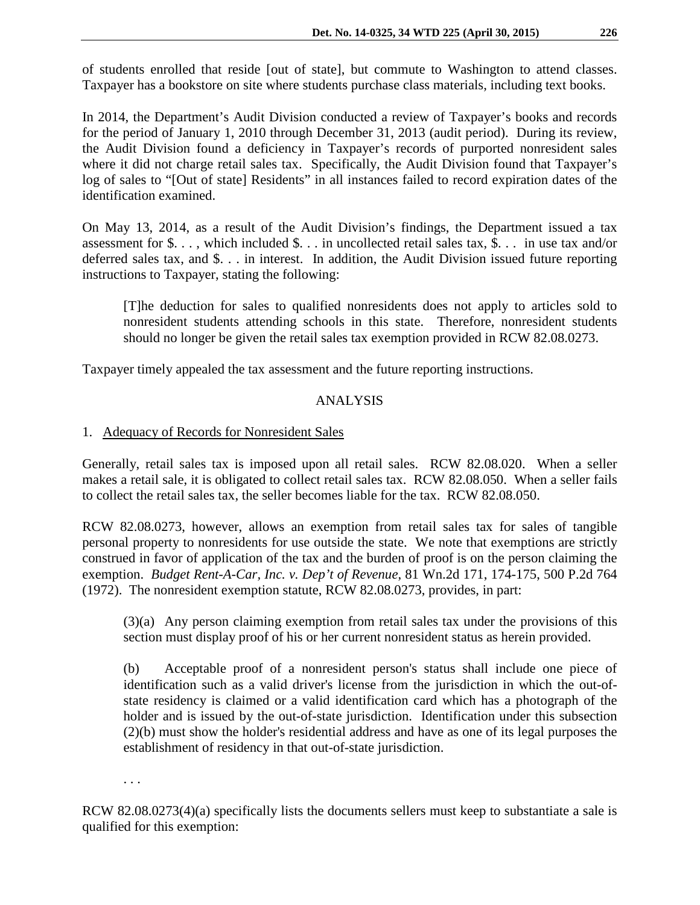of students enrolled that reside [out of state], but commute to Washington to attend classes. Taxpayer has a bookstore on site where students purchase class materials, including text books.

In 2014, the Department's Audit Division conducted a review of Taxpayer's books and records for the period of January 1, 2010 through December 31, 2013 (audit period). During its review, the Audit Division found a deficiency in Taxpayer's records of purported nonresident sales where it did not charge retail sales tax. Specifically, the Audit Division found that Taxpayer's log of sales to "[Out of state] Residents" in all instances failed to record expiration dates of the identification examined.

On May 13, 2014, as a result of the Audit Division's findings, the Department issued a tax assessment for \$. . . , which included \$. . . in uncollected retail sales tax, \$. . . in use tax and/or deferred sales tax, and \$. . . in interest. In addition, the Audit Division issued future reporting instructions to Taxpayer, stating the following:

[T]he deduction for sales to qualified nonresidents does not apply to articles sold to nonresident students attending schools in this state. Therefore, nonresident students should no longer be given the retail sales tax exemption provided in RCW 82.08.0273.

Taxpayer timely appealed the tax assessment and the future reporting instructions.

### ANALYSIS

### 1. Adequacy of Records for Nonresident Sales

Generally, retail sales tax is imposed upon all retail sales. RCW 82.08.020. When a seller makes a retail sale, it is obligated to collect retail sales tax. RCW 82.08.050. When a seller fails to collect the retail sales tax, the seller becomes liable for the tax. RCW 82.08.050.

RCW 82.08.0273, however, allows an exemption from retail sales tax for sales of tangible personal property to nonresidents for use outside the state. We note that exemptions are strictly construed in favor of application of the tax and the burden of proof is on the person claiming the exemption. *Budget Rent-A-Car, Inc. v. Dep't of Revenue*, 81 Wn.2d 171, 174-175, 500 P.2d 764 (1972). The nonresident exemption statute, RCW 82.08.0273, provides, in part:

(3)(a) Any person claiming exemption from retail sales tax under the provisions of this section must display proof of his or her current nonresident status as herein provided.

(b) Acceptable proof of a nonresident person's status shall include one piece of identification such as a valid driver's license from the jurisdiction in which the out-ofstate residency is claimed or a valid identification card which has a photograph of the holder and is issued by the out-of-state jurisdiction. Identification under this subsection (2)(b) must show the holder's residential address and have as one of its legal purposes the establishment of residency in that out-of-state jurisdiction.

. . .

RCW 82.08.0273(4)(a) specifically lists the documents sellers must keep to substantiate a sale is qualified for this exemption: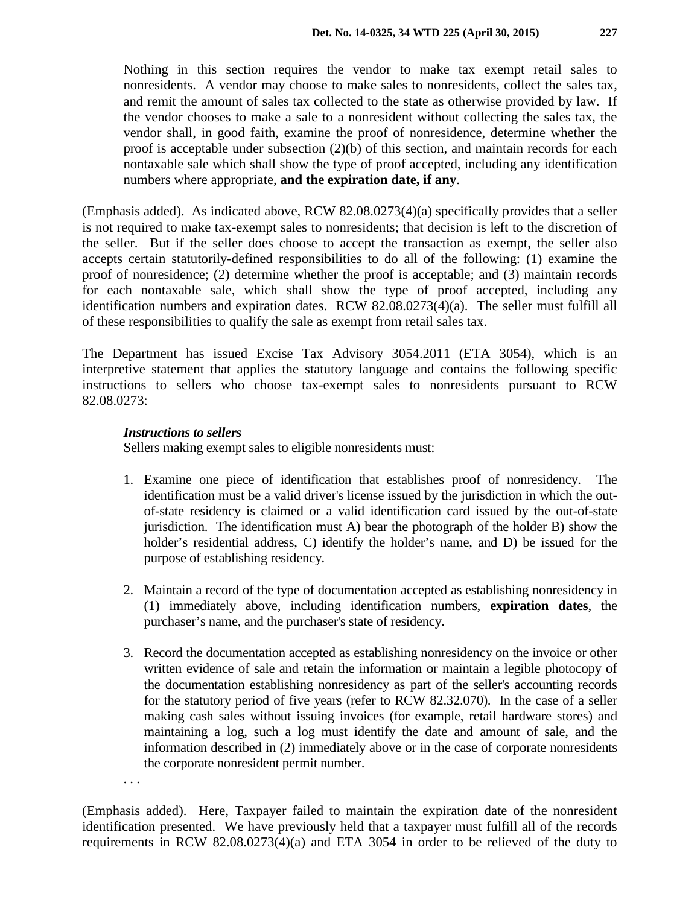Nothing in this section requires the vendor to make tax exempt retail sales to nonresidents. A vendor may choose to make sales to nonresidents, collect the sales tax, and remit the amount of sales tax collected to the state as otherwise provided by law. If the vendor chooses to make a sale to a nonresident without collecting the sales tax, the vendor shall, in good faith, examine the proof of nonresidence, determine whether the proof is acceptable under subsection (2)(b) of this section, and maintain records for each nontaxable sale which shall show the type of proof accepted, including any identification numbers where appropriate, **and the expiration date, if any**.

(Emphasis added). As indicated above, RCW 82.08.0273(4)(a) specifically provides that a seller is not required to make tax-exempt sales to nonresidents; that decision is left to the discretion of the seller. But if the seller does choose to accept the transaction as exempt, the seller also accepts certain statutorily-defined responsibilities to do all of the following: (1) examine the proof of nonresidence; (2) determine whether the proof is acceptable; and (3) maintain records for each nontaxable sale, which shall show the type of proof accepted, including any identification numbers and expiration dates. RCW 82.08.0273(4)(a). The seller must fulfill all of these responsibilities to qualify the sale as exempt from retail sales tax.

The Department has issued Excise Tax Advisory 3054.2011 (ETA 3054), which is an interpretive statement that applies the statutory language and contains the following specific instructions to sellers who choose tax-exempt sales to nonresidents pursuant to RCW 82.08.0273:

### *Instructions to sellers*

. . .

Sellers making exempt sales to eligible nonresidents must:

- 1. Examine one piece of identification that establishes proof of nonresidency. The identification must be a valid driver's license issued by the jurisdiction in which the outof-state residency is claimed or a valid identification card issued by the out-of-state jurisdiction. The identification must A) bear the photograph of the holder B) show the holder's residential address, C) identify the holder's name, and D) be issued for the purpose of establishing residency.
- 2. Maintain a record of the type of documentation accepted as establishing nonresidency in (1) immediately above, including identification numbers, **expiration dates**, the purchaser's name, and the purchaser's state of residency.
- 3. Record the documentation accepted as establishing nonresidency on the invoice or other written evidence of sale and retain the information or maintain a legible photocopy of the documentation establishing nonresidency as part of the seller's accounting records for the statutory period of five years (refer to RCW 82.32.070). In the case of a seller making cash sales without issuing invoices (for example, retail hardware stores) and maintaining a log, such a log must identify the date and amount of sale, and the information described in (2) immediately above or in the case of corporate nonresidents the corporate nonresident permit number.

(Emphasis added). Here, Taxpayer failed to maintain the expiration date of the nonresident identification presented. We have previously held that a taxpayer must fulfill all of the records requirements in RCW 82.08.0273(4)(a) and ETA 3054 in order to be relieved of the duty to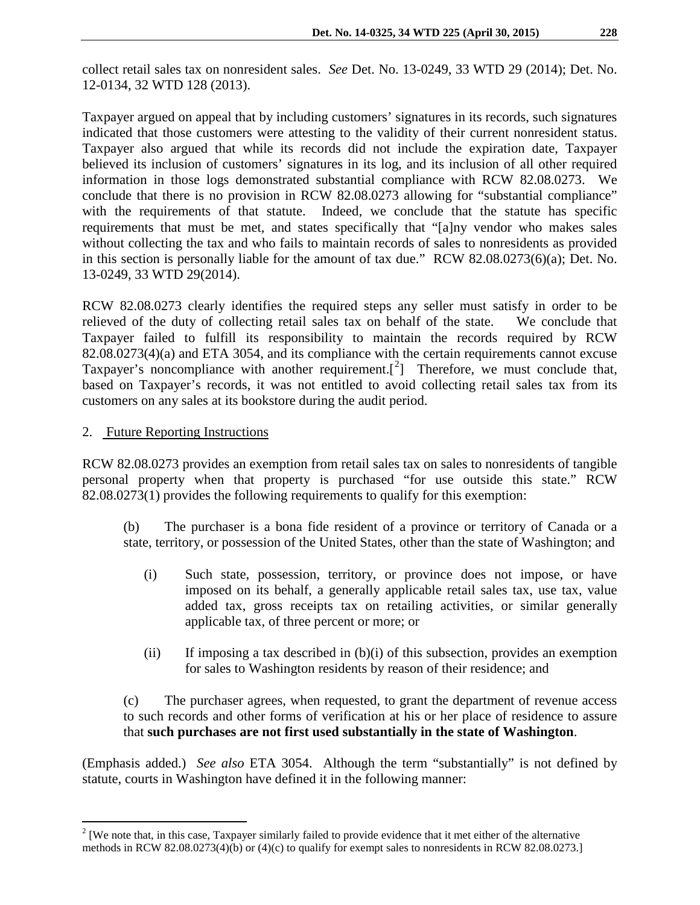collect retail sales tax on nonresident sales. *See* Det. No. 13-0249, 33 WTD 29 (2014); Det. No. 12-0134, 32 WTD 128 (2013).

Taxpayer argued on appeal that by including customers' signatures in its records, such signatures indicated that those customers were attesting to the validity of their current nonresident status. Taxpayer also argued that while its records did not include the expiration date, Taxpayer believed its inclusion of customers' signatures in its log, and its inclusion of all other required information in those logs demonstrated substantial compliance with RCW 82.08.0273. We conclude that there is no provision in RCW 82.08.0273 allowing for "substantial compliance" with the requirements of that statute. Indeed, we conclude that the statute has specific requirements that must be met, and states specifically that "[a]ny vendor who makes sales without collecting the tax and who fails to maintain records of sales to nonresidents as provided in this section is personally liable for the amount of tax due." RCW 82.08.0273(6)(a); Det. No. 13-0249, 33 WTD 29(2014).

RCW 82.08.0273 clearly identifies the required steps any seller must satisfy in order to be relieved of the duty of collecting retail sales tax on behalf of the state. We conclude that Taxpayer failed to fulfill its responsibility to maintain the records required by RCW 82.08.0273(4)(a) and ETA 3054, and its compliance with the certain requirements cannot excuse Taxpayer's noncompliance with another requirement.<sup>[[2](#page-3-0)]</sup> Therefore, we must conclude that, based on Taxpayer's records, it was not entitled to avoid collecting retail sales tax from its customers on any sales at its bookstore during the audit period.

2. Future Reporting Instructions

 $\overline{a}$ 

RCW 82.08.0273 provides an exemption from retail sales tax on sales to nonresidents of tangible personal property when that property is purchased "for use outside this state." RCW 82.08.0273(1) provides the following requirements to qualify for this exemption:

(b) The purchaser is a bona fide resident of a province or territory of Canada or a state, territory, or possession of the United States, other than the state of Washington; and

- (i) Such state, possession, territory, or province does not impose, or have imposed on its behalf, a generally applicable retail sales tax, use tax, value added tax, gross receipts tax on retailing activities, or similar generally applicable tax, of three percent or more; or
- (ii) If imposing a tax described in (b)(i) of this subsection, provides an exemption for sales to Washington residents by reason of their residence; and

## (c) The purchaser agrees, when requested, to grant the department of revenue access to such records and other forms of verification at his or her place of residence to assure that **such purchases are not first used substantially in the state of Washington**.

(Emphasis added.) *See also* ETA 3054. Although the term "substantially" is not defined by statute, courts in Washington have defined it in the following manner:

<span id="page-3-0"></span> $2$  [We note that, in this case, Taxpayer similarly failed to provide evidence that it met either of the alternative methods in RCW 82.08.0273(4)(b) or (4)(c) to qualify for exempt sales to nonresidents in RCW 82.08.0273.]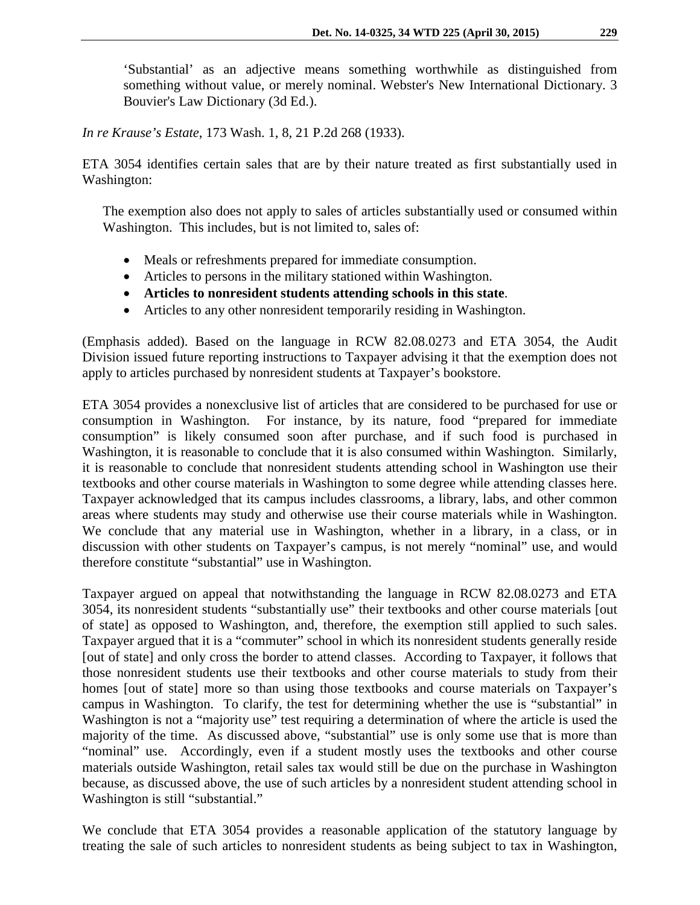'Substantial' as an adjective means something worthwhile as distinguished from something without value, or merely nominal. Webster's New International Dictionary. 3 Bouvier's Law Dictionary (3d Ed.).

*In re Krause's Estate*, 173 Wash. 1, 8, 21 P.2d 268 (1933).

ETA 3054 identifies certain sales that are by their nature treated as first substantially used in Washington:

The exemption also does not apply to sales of articles substantially used or consumed within Washington. This includes, but is not limited to, sales of:

- Meals or refreshments prepared for immediate consumption.
- Articles to persons in the military stationed within Washington.
- **Articles to nonresident students attending schools in this state**.
- Articles to any other nonresident temporarily residing in Washington.

(Emphasis added). Based on the language in RCW 82.08.0273 and ETA 3054, the Audit Division issued future reporting instructions to Taxpayer advising it that the exemption does not apply to articles purchased by nonresident students at Taxpayer's bookstore.

ETA 3054 provides a nonexclusive list of articles that are considered to be purchased for use or consumption in Washington. For instance, by its nature, food "prepared for immediate consumption" is likely consumed soon after purchase, and if such food is purchased in Washington, it is reasonable to conclude that it is also consumed within Washington. Similarly, it is reasonable to conclude that nonresident students attending school in Washington use their textbooks and other course materials in Washington to some degree while attending classes here. Taxpayer acknowledged that its campus includes classrooms, a library, labs, and other common areas where students may study and otherwise use their course materials while in Washington. We conclude that any material use in Washington, whether in a library, in a class, or in discussion with other students on Taxpayer's campus, is not merely "nominal" use, and would therefore constitute "substantial" use in Washington.

Taxpayer argued on appeal that notwithstanding the language in RCW 82.08.0273 and ETA 3054, its nonresident students "substantially use" their textbooks and other course materials [out of state] as opposed to Washington, and, therefore, the exemption still applied to such sales. Taxpayer argued that it is a "commuter" school in which its nonresident students generally reside [out of state] and only cross the border to attend classes. According to Taxpayer, it follows that those nonresident students use their textbooks and other course materials to study from their homes [out of state] more so than using those textbooks and course materials on Taxpayer's campus in Washington. To clarify, the test for determining whether the use is "substantial" in Washington is not a "majority use" test requiring a determination of where the article is used the majority of the time. As discussed above, "substantial" use is only some use that is more than "nominal" use. Accordingly, even if a student mostly uses the textbooks and other course materials outside Washington, retail sales tax would still be due on the purchase in Washington because, as discussed above, the use of such articles by a nonresident student attending school in Washington is still "substantial."

We conclude that ETA 3054 provides a reasonable application of the statutory language by treating the sale of such articles to nonresident students as being subject to tax in Washington,